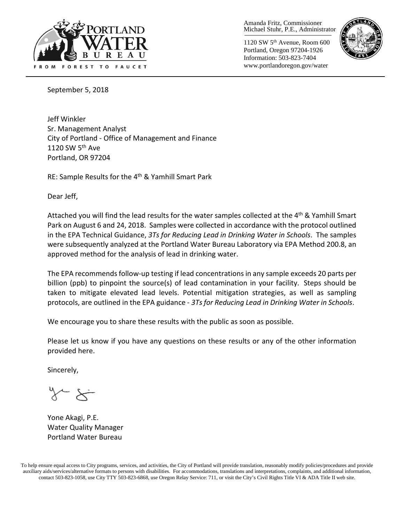

Amanda Fritz, Commissioner Michael Stuhr, P.E., Administrator

1120 SW 5th Avenue, Room 600 Portland, Oregon 97204-1926 Information: 503-823-7404 www.portlandoregon.gov/water



September 5, 2018

Jeff Winkler Sr. Management Analyst City of Portland - Office of Management and Finance 1120 SW 5<sup>th</sup> Ave Portland, OR 97204

RE: Sample Results for the 4<sup>th</sup> & Yamhill Smart Park

Dear Jeff,

Attached you will find the lead results for the water samples collected at the 4<sup>th</sup> & Yamhill Smart Park on August 6 and 24, 2018. Samples were collected in accordance with the protocol outlined in the EPA Technical Guidance, *3Ts for Reducing Lead in Drinking Water in Schools*. The samples were subsequently analyzed at the Portland Water Bureau Laboratory via EPA Method 200.8, an approved method for the analysis of lead in drinking water.

The EPA recommends follow-up testing if lead concentrations in any sample exceeds 20 parts per billion (ppb) to pinpoint the source(s) of lead contamination in your facility. Steps should be taken to mitigate elevated lead levels. Potential mitigation strategies, as well as sampling protocols, are outlined in the EPA guidance - *3Ts for Reducing Lead in Drinking Water in Schools*.

We encourage you to share these results with the public as soon as possible.

Please let us know if you have any questions on these results or any of the other information provided here.

Sincerely,

Yone Akagi, P.E. Water Quality Manager Portland Water Bureau

To help ensure equal access to City programs, services, and activities, the City of Portland will provide translation, reasonably modify policies/procedures and provide auxiliary aids/services/alternative formats to persons with disabilities. For accommodations, translations and interpretations, complaints, and additional information, contact 503-823-1058, use City TTY 503-823-6868, use Oregon Relay Service: 711, or visit the City's Civil Rights [Title VI & ADA Title II web site.](http://www.portlandoregon.gov/oehr/66458)